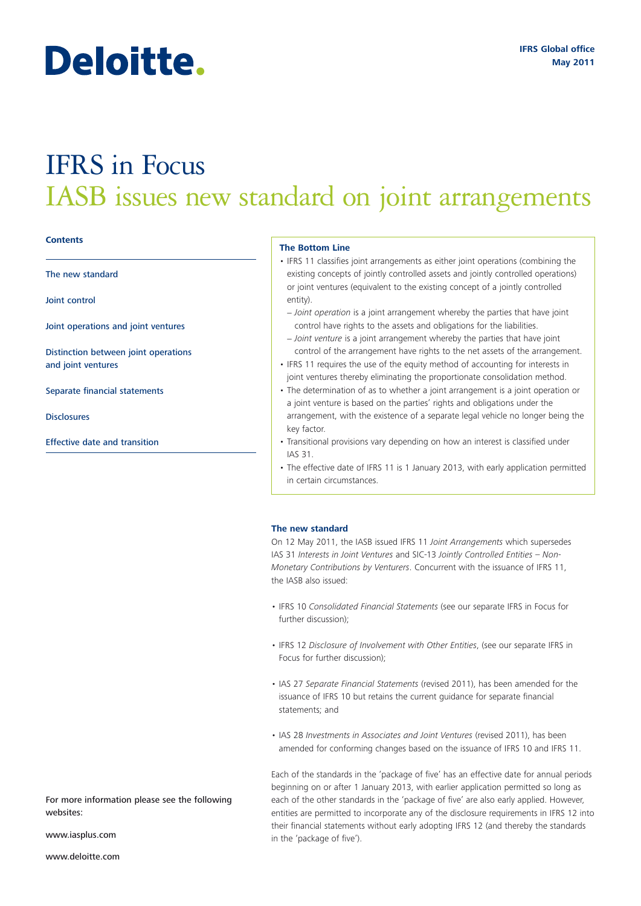# Deloitte.

## IFRS in Focus IASB issues new standard on joint arrangements

#### **Contents**

The new standard

Joint control

Joint operations and joint ventures

Distinction between joint operations and joint ventures

Separate financial statements

Disclosures

Effective date and transition

#### **The Bottom Line**

- IFRS 11 classifies joint arrangements as either joint operations (combining the existing concepts of jointly controlled assets and jointly controlled operations) or joint ventures (equivalent to the existing concept of a jointly controlled entity).
- − *Joint operation* is a joint arrangement whereby the parties that have joint control have rights to the assets and obligations for the liabilities.
- − *Joint venture* is a joint arrangement whereby the parties that have joint control of the arrangement have rights to the net assets of the arrangement.
- IFRS 11 requires the use of the equity method of accounting for interests in joint ventures thereby eliminating the proportionate consolidation method.
- The determination of as to whether a joint arrangement is a joint operation or a joint venture is based on the parties' rights and obligations under the arrangement, with the existence of a separate legal vehicle no longer being the key factor.
- Transitional provisions vary depending on how an interest is classified under IAS 31.
- The effective date of IFRS 11 is 1 January 2013, with early application permitted in certain circumstances.

#### **The new standard**

On 12 May 2011, the IASB issued IFRS 11 *Joint Arrangements* which supersedes IAS 31 *Interests in Joint Ventures* and SIC-13 *Jointly Controlled Entities – Non-Monetary Contributions by Venturers*. Concurrent with the issuance of IFRS 11, the IASB also issued:

- IFRS 10 *Consolidated Financial Statements* (see our separate IFRS in Focus for further discussion);
- IFRS 12 *Disclosure of Involvement with Other Entities*, (see our separate IFRS in Focus for further discussion);
- IAS 27 *Separate Financial Statements* (revised 2011), has been amended for the issuance of IFRS 10 but retains the current guidance for separate financial statements; and
- IAS 28 *Investments in Associates and Joint Ventures* (revised 2011), has been amended for conforming changes based on the issuance of IFRS 10 and IFRS 11.

Each of the standards in the 'package of five' has an effective date for annual periods beginning on or after 1 January 2013, with earlier application permitted so long as each of the other standards in the 'package of five' are also early applied. However, entities are permitted to incorporate any of the disclosure requirements in IFRS 12 into their financial statements without early adopting IFRS 12 (and thereby the standards in the 'package of five').

For more information please see the following websites:

www.iasplus.com

www.deloitte.com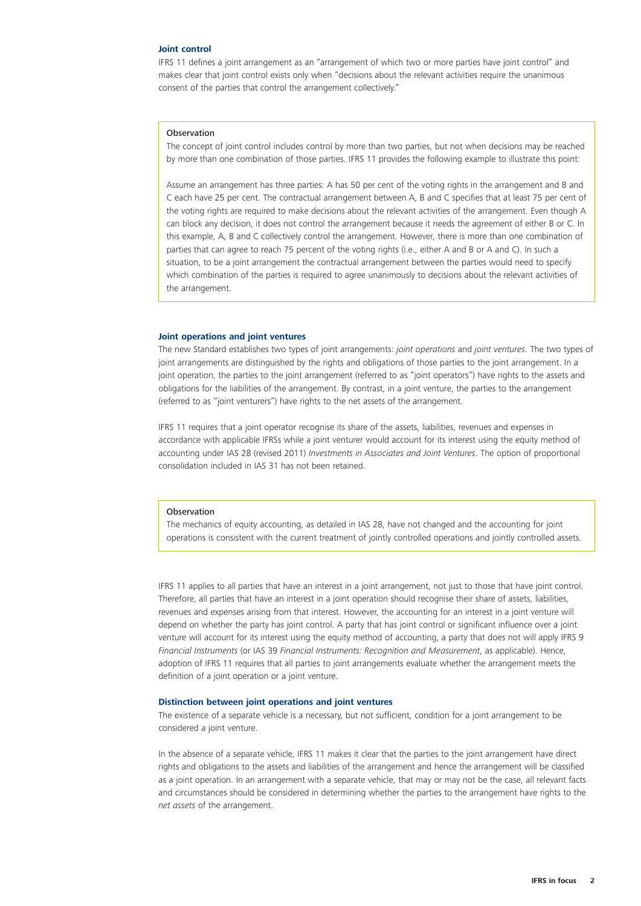#### **Joint control**

IFRS 11 defines a joint arrangement as an "arrangement of which two or more parties have joint control" and makes clear that joint control exists only when "decisions about the relevant activities require the unanimous consent of the parties that control the arrangement collectively."

#### Observation

The concept of joint control includes control by more than two parties, but not when decisions may be reached by more than one combination of those parties. IFRS 11 provides the following example to illustrate this point:

Assume an arrangement has three parties: A has 50 per cent of the voting rights in the arrangement and B and C each have 25 per cent. The contractual arrangement between A, B and C specifies that at least 75 per cent of the voting rights are required to make decisions about the relevant activities of the arrangement. Even though A can block any decision, it does not control the arrangement because it needs the agreement of either B or C. In this example, A, B and C collectively control the arrangement. However, there is more than one combination of parties that can agree to reach 75 percent of the voting rights (i.e., either A and B or A and C). In such a situation, to be a joint arrangement the contractual arrangement between the parties would need to specify which combination of the parties is required to agree unanimously to decisions about the relevant activities of the arrangement.

#### **Joint operations and joint ventures**

The new Standard establishes two types of joint arrangements: *joint operations* and *joint ventures*. The two types of joint arrangements are distinguished by the rights and obligations of those parties to the joint arrangement. In a joint operation, the parties to the joint arrangement (referred to as "joint operators") have rights to the assets and obligations for the liabilities of the arrangement. By contrast, in a joint venture, the parties to the arrangement (referred to as "joint venturers") have rights to the net assets of the arrangement.

IFRS 11 requires that a joint operator recognise its share of the assets, liabilities, revenues and expenses in accordance with applicable IFRSs while a joint venturer would account for its interest using the equity method of accounting under IAS 28 (revised 2011) *Investments in Associates and Joint Ventures*. The option of proportional consolidation included in IAS 31 has not been retained.

#### Observation

The mechanics of equity accounting, as detailed in IAS 28, have not changed and the accounting for joint operations is consistent with the current treatment of jointly controlled operations and jointly controlled assets.

IFRS 11 applies to all parties that have an interest in a joint arrangement, not just to those that have joint control. Therefore, all parties that have an interest in a joint operation should recognise their share of assets, liabilities, revenues and expenses arising from that interest. However, the accounting for an interest in a joint venture will depend on whether the party has joint control. A party that has joint control or significant influence over a joint venture will account for its interest using the equity method of accounting, a party that does not will apply IFRS 9 *Financial Instruments* (or IAS 39 *Financial Instruments: Recognition and Measurement*, as applicable). Hence, adoption of IFRS 11 requires that all parties to joint arrangements evaluate whether the arrangement meets the definition of a joint operation or a joint venture.

#### **Distinction between joint operations and joint ventures**

The existence of a separate vehicle is a necessary, but not sufficient, condition for a joint arrangement to be considered a joint venture.

In the absence of a separate vehicle, IFRS 11 makes it clear that the parties to the joint arrangement have direct rights and obligations to the assets and liabilities of the arrangement and hence the arrangement will be classified as a joint operation. In an arrangement with a separate vehicle, that may or may not be the case, all relevant facts and circumstances should be considered in determining whether the parties to the arrangement have rights to the *net assets* of the arrangement.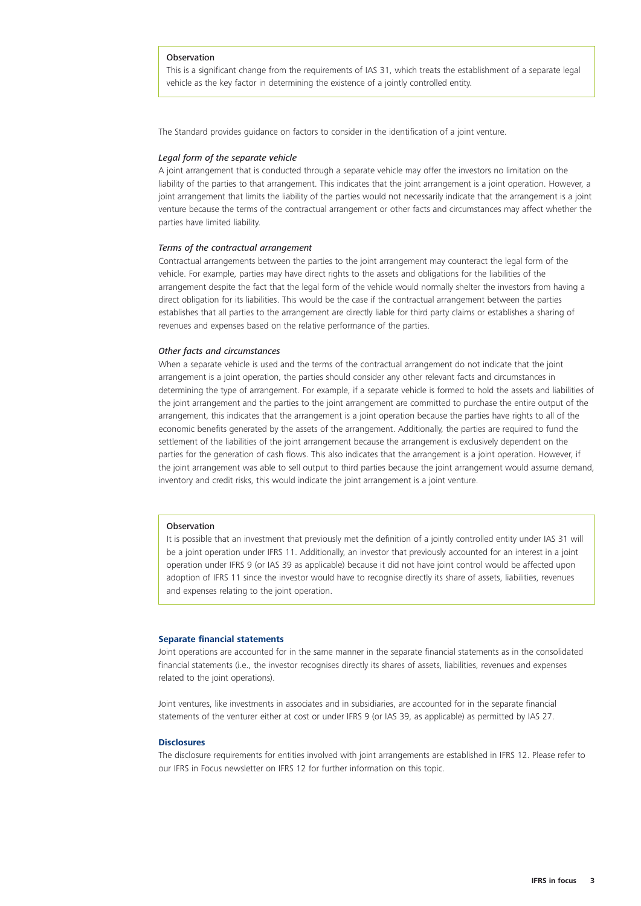#### Observation

This is a significant change from the requirements of IAS 31, which treats the establishment of a separate legal vehicle as the key factor in determining the existence of a jointly controlled entity.

The Standard provides guidance on factors to consider in the identification of a joint venture.

#### *Legal form of the separate vehicle*

A joint arrangement that is conducted through a separate vehicle may offer the investors no limitation on the liability of the parties to that arrangement. This indicates that the joint arrangement is a joint operation. However, a joint arrangement that limits the liability of the parties would not necessarily indicate that the arrangement is a joint venture because the terms of the contractual arrangement or other facts and circumstances may affect whether the parties have limited liability.

#### *Terms of the contractual arrangement*

Contractual arrangements between the parties to the joint arrangement may counteract the legal form of the vehicle. For example, parties may have direct rights to the assets and obligations for the liabilities of the arrangement despite the fact that the legal form of the vehicle would normally shelter the investors from having a direct obligation for its liabilities. This would be the case if the contractual arrangement between the parties establishes that all parties to the arrangement are directly liable for third party claims or establishes a sharing of revenues and expenses based on the relative performance of the parties.

#### *Other facts and circumstances*

When a separate vehicle is used and the terms of the contractual arrangement do not indicate that the joint arrangement is a joint operation, the parties should consider any other relevant facts and circumstances in determining the type of arrangement. For example, if a separate vehicle is formed to hold the assets and liabilities of the joint arrangement and the parties to the joint arrangement are committed to purchase the entire output of the arrangement, this indicates that the arrangement is a joint operation because the parties have rights to all of the economic benefits generated by the assets of the arrangement. Additionally, the parties are required to fund the settlement of the liabilities of the joint arrangement because the arrangement is exclusively dependent on the parties for the generation of cash flows. This also indicates that the arrangement is a joint operation. However, if the joint arrangement was able to sell output to third parties because the joint arrangement would assume demand, inventory and credit risks, this would indicate the joint arrangement is a joint venture.

#### **Observation**

It is possible that an investment that previously met the definition of a jointly controlled entity under IAS 31 will be a joint operation under IFRS 11. Additionally, an investor that previously accounted for an interest in a joint operation under IFRS 9 (or IAS 39 as applicable) because it did not have joint control would be affected upon adoption of IFRS 11 since the investor would have to recognise directly its share of assets, liabilities, revenues and expenses relating to the joint operation.

#### **Separate financial statements**

Joint operations are accounted for in the same manner in the separate financial statements as in the consolidated financial statements (i.e., the investor recognises directly its shares of assets, liabilities, revenues and expenses related to the joint operations).

Joint ventures, like investments in associates and in subsidiaries, are accounted for in the separate financial statements of the venturer either at cost or under IFRS 9 (or IAS 39, as applicable) as permitted by IAS 27.

#### **Disclosures**

The disclosure requirements for entities involved with joint arrangements are established in IFRS 12. Please refer to our IFRS in Focus newsletter on IFRS 12 for further information on this topic.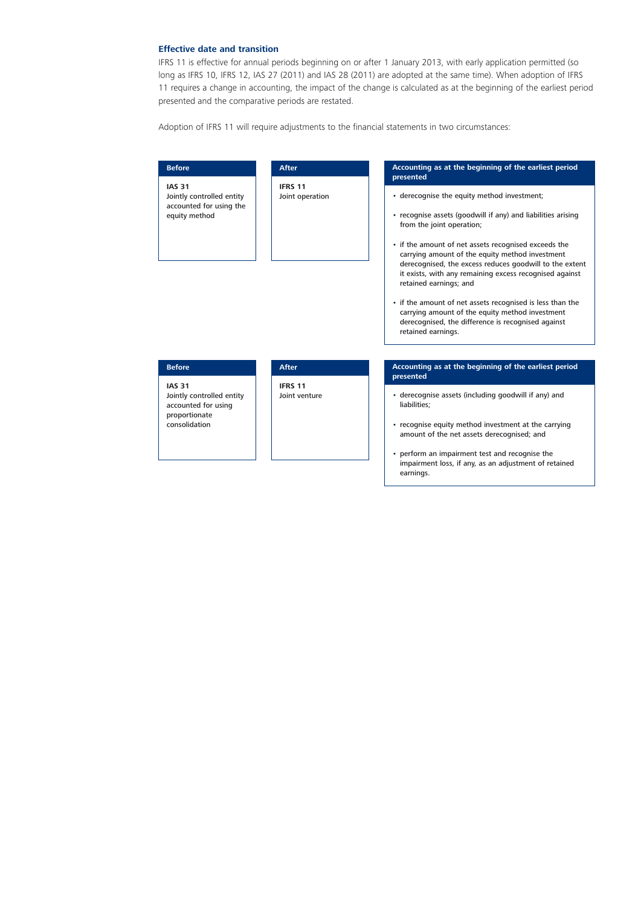#### **Effective date and transition**

IFRS 11 is effective for annual periods beginning on or after 1 January 2013, with early application permitted (so long as IFRS 10, IFRS 12, IAS 27 (2011) and IAS 28 (2011) are adopted at the same time). When adoption of IFRS 11 requires a change in accounting, the impact of the change is calculated as at the beginning of the earliest period presented and the comparative periods are restated.

Adoption of IFRS 11 will require adjustments to the financial statements in two circumstances:

| <b>After</b>                                                                                                                           | Accounting as at the beginning of the earliest period                                                                                                                                                                                                                                                                                                                                                                                                                                                                                                                                           |
|----------------------------------------------------------------------------------------------------------------------------------------|-------------------------------------------------------------------------------------------------------------------------------------------------------------------------------------------------------------------------------------------------------------------------------------------------------------------------------------------------------------------------------------------------------------------------------------------------------------------------------------------------------------------------------------------------------------------------------------------------|
| <b>Before</b>                                                                                                                          | presented                                                                                                                                                                                                                                                                                                                                                                                                                                                                                                                                                                                       |
| <b>IAS 31</b><br><b>IFRS 11</b><br>Jointly controlled entity<br>Joint operation<br>accounted for using the<br>equity method            | • derecognise the equity method investment;<br>• recognise assets (goodwill if any) and liabilities arising<br>from the joint operation;<br>• if the amount of net assets recognised exceeds the<br>carrying amount of the equity method investment<br>derecognised, the excess reduces goodwill to the extent<br>it exists, with any remaining excess recognised against<br>retained earnings; and<br>• if the amount of net assets recognised is less than the<br>carrying amount of the equity method investment<br>derecognised, the difference is recognised against<br>retained earnings. |
| <b>Before</b>                                                                                                                          | Accounting as at the beginning of the earliest period                                                                                                                                                                                                                                                                                                                                                                                                                                                                                                                                           |
| <b>After</b>                                                                                                                           | presented                                                                                                                                                                                                                                                                                                                                                                                                                                                                                                                                                                                       |
| <b>IAS 31</b><br><b>IFRS 11</b><br>Jointly controlled entity<br>Joint venture<br>accounted for using<br>proportionate<br>consolidation | • derecognise assets (including goodwill if any) and<br>liabilities;<br>• recognise equity method investment at the carrying<br>amount of the net assets derecognised; and<br>• perform an impairment test and recognise the<br>impairment loss, if any, as an adjustment of retained                                                                                                                                                                                                                                                                                                           |